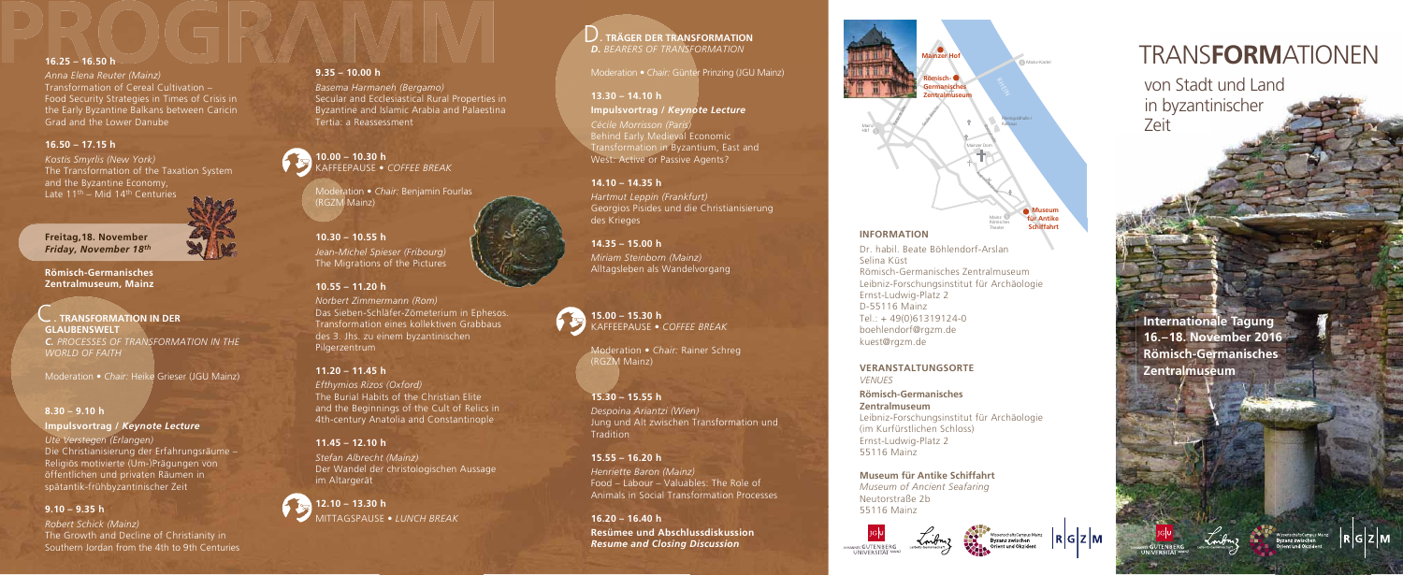von Stadt und Land in byzantinischer Zeit

# TRANS**FORM**ATIONEN

Hbf

**Internationale Tagung 16 . –18. November 2016 Römisch-Germanisches Zentralmuseum**

*Kostis Smyrlis (New York)* The Transformation of the Taxation System and the Byzantine Economy, Late  $11^{\text{th}}$  – Mid  $14^{\text{th}}$  Centuries





## **16.25 – 16.50 h**

*Anna Elena Reuter (Mainz)* Transformation of Cereal Cultivation – Food Security Strategies in Times of Crisis in the Early Byzantine Balkans between Cari cin Grad and the Lower Danube

## **16.50 – 17.15 h**

C  **. TRANSFORMATION IN DER GLAUBENSWELT** *C. PROCESSES OF TRANSFORMATION IN THE WORLD OF FAITH*

**Freitag,18. November** *Friday, November 1 8th*

**Römisch-Germanisches Zentralmuseum, Mainz**

Moderation • *Chair:* Heike Grieser (JGU Mainz)

#### **8.30 – 9.10 h**

#### **Impulsvortrag /** *Keynote Lectur e*

# D. *TRÄGER DER TRANSFORMATIC*<br>*D. <i>BEARERS OF TRANSFORMATION*  **. TRÄGER DER TRANSFORMATION**

*Ute Verstegen (Erlangen)* Die Christianisierung der Erfahrungsräume – Religiös motivierte (Um-)Prägungen von öffentlichen und privaten Räumen in spätantik-frühbyzantinischer Zeit

*Cécile Morrisson (Paris)* Behind Early Medieval Economic Transformation in Byzantium, East and West: Active or Passive Agents?

#### **9.10 – 9.35 h**

*Robert Schick (Mainz)* The Growth and Decline of Christianity in Southern Jordan from the 4th to 9th Centuries

#### **9.35 – 10.00 h**

*Basema Harmaneh (Bergamo)* Secular and Ecclesiastical Rural Properties in Byzantine and Islamic Arabia and Palaestina Tertia: a Reassessment

**10.00 – 10.30 h** KAFFEEPAUSE • *COFFEE BREAK*



Moderation • *Chair:* Benjamin Fourlas (RGZM Mainz)

**10.30 – 10.55 h** *Jean-Michel Spieser (Fribourg)* The Migrations of the Pictures

### **10.55 – 11.20 h**

*Norbert Zimmermann (Rom)* Das Sieben-Schläfer-Zömeterium in Ephesos. Transformation eines kollektiven Grabbaus des 3. Jhs. zu einem byzantinischen Pilgerzentrum

#### **11.20 – 11.45 h**

*Efthymios Rizos (Oxford)* The Burial Habits of the Christian Elite and the Beginnings of the Cult of Relics in 4th-century Anatolia and Constantinople

#### **11.45 – 12.10 h**

*Stefan Albrecht (Mainz)* Der Wandel der christologischen Aussage im Altargerät

**12.10 – 13.30 h** MITTAGSPAUSE • *LUNCH BREAK* Moderation • *Chair:* Günter Prinzing (JGU Mainz)

#### **13.30 – 14.10 h**

**Impulsvortrag /** *Keynote Lectur e*

#### **14.10 – 14.35 h**

*Hartmut Leppin (Frankfurt)* Georgios Pisides und die Christianisierung des Krieges

#### **14.35 – 15.00 h**

*Miriam Steinborn (Mainz)* Alltagsleben als Wandelvorgang

**15.00 – 15.30 h** KAFFEEPAUSE • *COFFEE BREAK*

Moderation • *Chair:* Rainer Schreg

(RGZM Mainz)

#### **15.30 – 15.55 h**

*Despoina Ariantzi (Wien)* Jung und Alt zwischen Transformation und Tradition

### **15.55 – 16.20 h**

*Henriette Baron (Mainz)* Food – Labour – Valuables: The Role of Animals in Social Transformation Processes

**16.20 – 16.40 h Resümee und Abschlussdiskussion** *Resume and Closing Discussion*





- Dr. habil. Beate Böhlendorf-Arslan Selina Küst
- Römisch-Germanisches Zentralmuseum
- Leibniz-Forschungsinstitut für Archäologie
- Ernst-Ludwig-Platz 2
- D-55116 Mainz
- $Tel: + 49(0)61319124-0$
- boehlendorf@rgzm.de
- kuest@rgzm.de

## **VERANSTALTUNGSORTE**

*VENUES*

#### **Römisch-Germanisches Zentralmuseum**

Leibniz-Forschungsinstitut für Archäologie (im Kurfürstlichen Schloss) Ernst-Ludwig-Platz 2 55116 Mainz









**Museum für Antike Schiffahrt**  *Museum of Ancient Seafaring* Neutorstraße 2b 55116 Mainz